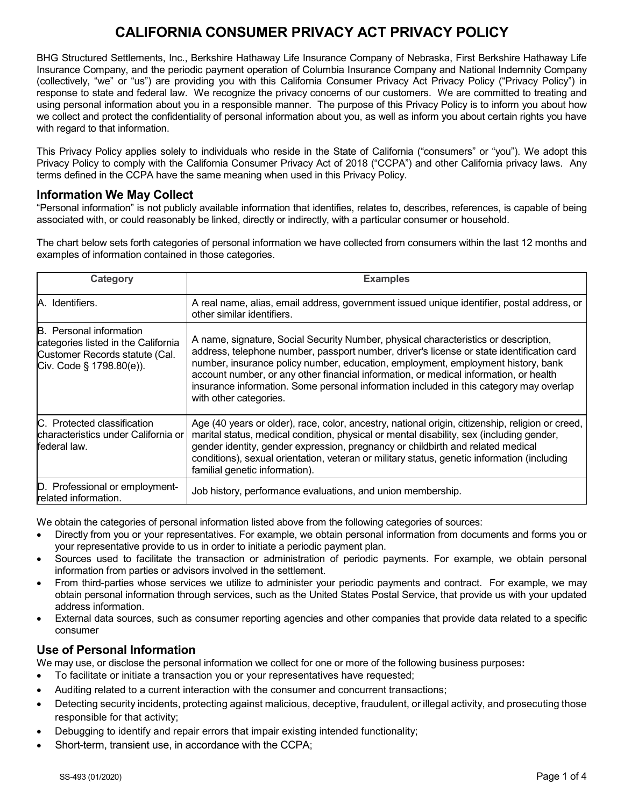# **CALIFORNIA CONSUMER PRIVACY ACT PRIVACY POLICY**

BHG Structured Settlements, Inc., Berkshire Hathaway Life Insurance Company of Nebraska, First Berkshire Hathaway Life Insurance Company, and the periodic payment operation of Columbia Insurance Company and National Indemnity Company (collectively, "we" or "us") are providing you with this California Consumer Privacy Act Privacy Policy ("Privacy Policy") in response to state and federal law. We recognize the privacy concerns of our customers. We are committed to treating and using personal information about you in a responsible manner. The purpose of this Privacy Policy is to inform you about how we collect and protect the confidentiality of personal information about you, as well as inform you about certain rights you have with regard to that information.

This Privacy Policy applies solely to individuals who reside in the State of California ("consumers" or "you"). We adopt this Privacy Policy to comply with the California Consumer Privacy Act of 2018 ("CCPA") and other California privacy laws. Any terms defined in the CCPA have the same meaning when used in this Privacy Policy.

### **Information We May Collect**

"Personal information" is not publicly available information that identifies, relates to, describes, references, is capable of being associated with, or could reasonably be linked, directly or indirectly, with a particular consumer or household.

The chart below sets forth categories of personal information we have collected from consumers within the last 12 months and examples of information contained in those categories.

| Category                                                                                                                            | <b>Examples</b>                                                                                                                                                                                                                                                                                                                                                                                                                                                                   |
|-------------------------------------------------------------------------------------------------------------------------------------|-----------------------------------------------------------------------------------------------------------------------------------------------------------------------------------------------------------------------------------------------------------------------------------------------------------------------------------------------------------------------------------------------------------------------------------------------------------------------------------|
| A. Identifiers.                                                                                                                     | A real name, alias, email address, government issued unique identifier, postal address, or<br>other similar identifiers.                                                                                                                                                                                                                                                                                                                                                          |
| <b>B.</b> Personal information<br>categories listed in the California<br>Customer Records statute (Cal.<br>Civ. Code § 1798.80(e)). | A name, signature, Social Security Number, physical characteristics or description,<br>address, telephone number, passport number, driver's license or state identification card<br>number, insurance policy number, education, employment, employment history, bank<br>account number, or any other financial information, or medical information, or health<br>insurance information. Some personal information included in this category may overlap<br>with other categories. |
| IC. Protected classification<br>Icharacteristics under California or<br>federal law.                                                | Age (40 years or older), race, color, ancestry, national origin, citizenship, religion or creed,<br>marital status, medical condition, physical or mental disability, sex (including gender,<br>gender identity, gender expression, pregnancy or childbirth and related medical<br>conditions), sexual orientation, veteran or military status, genetic information (including<br>familial genetic information).                                                                  |
| D. Professional or employment-<br>related information.                                                                              | Job history, performance evaluations, and union membership.                                                                                                                                                                                                                                                                                                                                                                                                                       |

We obtain the categories of personal information listed above from the following categories of sources:

- Directly from you or your representatives. For example, we obtain personal information from documents and forms you or your representative provide to us in order to initiate a periodic payment plan.
- Sources used to facilitate the transaction or administration of periodic payments. For example, we obtain personal information from parties or advisors involved in the settlement.
- From third-parties whose services we utilize to administer your periodic payments and contract. For example, we may obtain personal information through services, such as the United States Postal Service, that provide us with your updated address information.
- External data sources, such as consumer reporting agencies and other companies that provide data related to a specific consumer

# **Use of Personal Information**

We may use, or disclose the personal information we collect for one or more of the following business purposes**:**

- To facilitate or initiate a transaction you or your representatives have requested;
- Auditing related to a current interaction with the consumer and concurrent transactions;
- Detecting security incidents, protecting against malicious, deceptive, fraudulent, or illegal activity, and prosecuting those responsible for that activity;
- Debugging to identify and repair errors that impair existing intended functionality;
- Short-term, transient use, in accordance with the CCPA;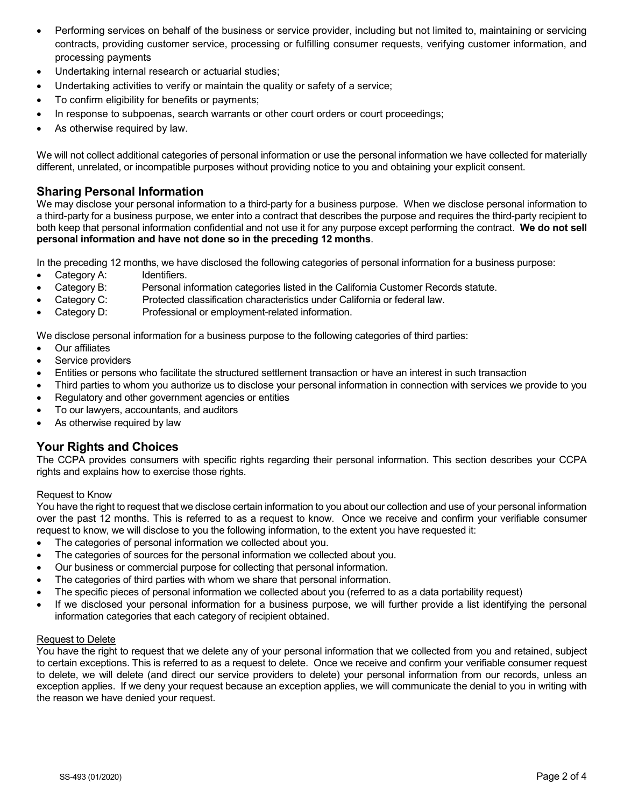- Performing services on behalf of the business or service provider, including but not limited to, maintaining or servicing contracts, providing customer service, processing or fulfilling consumer requests, verifying customer information, and processing payments
- Undertaking internal research or actuarial studies;
- Undertaking activities to verify or maintain the quality or safety of a service;
- To confirm eligibility for benefits or payments;
- In response to subpoenas, search warrants or other court orders or court proceedings;
- As otherwise required by law.

We will not collect additional categories of personal information or use the personal information we have collected for materially different, unrelated, or incompatible purposes without providing notice to you and obtaining your explicit consent.

### **Sharing Personal Information**

We may disclose your personal information to a third-party for a business purpose. When we disclose personal information to a third-party for a business purpose, we enter into a contract that describes the purpose and requires the third-party recipient to both keep that personal information confidential and not use it for any purpose except performing the contract. **We do not sell personal information and have not done so in the preceding 12 months**.

In the preceding 12 months, we have disclosed the following categories of personal information for a business purpose:

- Category A: Identifiers.
- Category B: Personal information categories listed in the California Customer Records statute.
- Category C: Protected classification characteristics under California or federal law.
- Category D: Professional or employment-related information.

We disclose personal information for a business purpose to the following categories of third parties:

- Our affiliates
- Service providers
- Entities or persons who facilitate the structured settlement transaction or have an interest in such transaction
- Third parties to whom you authorize us to disclose your personal information in connection with services we provide to you
- Regulatory and other government agencies or entities
- To our lawyers, accountants, and auditors
- As otherwise required by law

# **Your Rights and Choices**

The CCPA provides consumers with specific rights regarding their personal information. This section describes your CCPA rights and explains how to exercise those rights.

#### Request to Know

You have the right to request that we disclose certain information to you about our collection and use of your personal information over the past 12 months. This is referred to as a request to know. Once we receive and confirm your verifiable consumer request to know, we will disclose to you the following information, to the extent you have requested it:

- The categories of personal information we collected about you.
- The categories of sources for the personal information we collected about you.
- Our business or commercial purpose for collecting that personal information.
- The categories of third parties with whom we share that personal information.
- The specific pieces of personal information we collected about you (referred to as a data portability request)
- If we disclosed your personal information for a business purpose, we will further provide a list identifying the personal information categories that each category of recipient obtained.

#### **Request to Delete**

You have the right to request that we delete any of your personal information that we collected from you and retained, subject to certain exceptions. This is referred to as a request to delete. Once we receive and confirm your verifiable consumer request to delete, we will delete (and direct our service providers to delete) your personal information from our records, unless an exception applies. If we deny your request because an exception applies, we will communicate the denial to you in writing with the reason we have denied your request.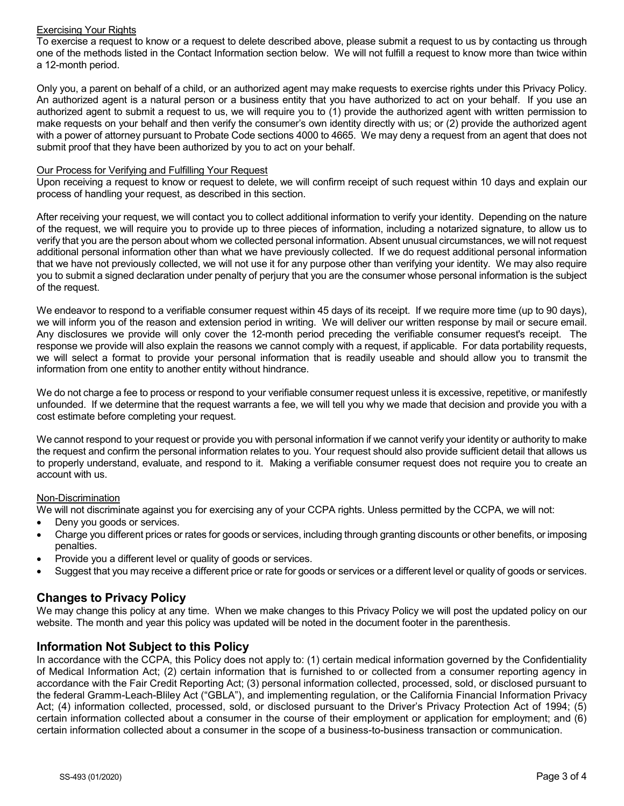#### Exercising Your Rights

To exercise a request to know or a request to delete described above, please submit a request to us by contacting us through one of the methods listed in the Contact Information section below. We will not fulfill a request to know more than twice within a 12-month period.

Only you, a parent on behalf of a child, or an authorized agent may make requests to exercise rights under this Privacy Policy. An authorized agent is a natural person or a business entity that you have authorized to act on your behalf. If you use an authorized agent to submit a request to us, we will require you to (1) provide the authorized agent with written permission to make requests on your behalf and then verify the consumer's own identity directly with us; or (2) provide the authorized agent with a power of attorney pursuant to Probate Code sections 4000 to 4665. We may deny a request from an agent that does not submit proof that they have been authorized by you to act on your behalf.

#### Our Process for Verifying and Fulfilling Your Request

Upon receiving a request to know or request to delete, we will confirm receipt of such request within 10 days and explain our process of handling your request, as described in this section.

After receiving your request, we will contact you to collect additional information to verify your identity. Depending on the nature of the request, we will require you to provide up to three pieces of information, including a notarized signature, to allow us to verify that you are the person about whom we collected personal information. Absent unusual circumstances, we will not request additional personal information other than what we have previously collected. If we do request additional personal information that we have not previously collected, we will not use it for any purpose other than verifying your identity. We may also require you to submit a signed declaration under penalty of perjury that you are the consumer whose personal information is the subject of the request.

We endeavor to respond to a verifiable consumer request within 45 days of its receipt. If we require more time (up to 90 days), we will inform you of the reason and extension period in writing. We will deliver our written response by mail or secure email. Any disclosures we provide will only cover the 12-month period preceding the verifiable consumer request's receipt. The response we provide will also explain the reasons we cannot comply with a request, if applicable. For data portability requests, we will select a format to provide your personal information that is readily useable and should allow you to transmit the information from one entity to another entity without hindrance.

We do not charge a fee to process or respond to your verifiable consumer request unless it is excessive, repetitive, or manifestly unfounded. If we determine that the request warrants a fee, we will tell you why we made that decision and provide you with a cost estimate before completing your request.

We cannot respond to your request or provide you with personal information if we cannot verify your identity or authority to make the request and confirm the personal information relates to you. Your request should also provide sufficient detail that allows us to properly understand, evaluate, and respond to it. Making a verifiable consumer request does not require you to create an account with us.

#### Non-Discrimination

We will not discriminate against you for exercising any of your CCPA rights. Unless permitted by the CCPA, we will not:

- Deny you goods or services.
- Charge you different prices or rates for goods or services, including through granting discounts or other benefits, or imposing penalties.
- Provide you a different level or quality of goods or services.
- Suggest that you may receive a different price or rate for goods or services or a different level or quality of goods or services.

# **Changes to Privacy Policy**

We may change this policy at any time. When we make changes to this Privacy Policy we will post the updated policy on our website. The month and year this policy was updated will be noted in the document footer in the parenthesis.

### **Information Not Subject to this Policy**

In accordance with the CCPA, this Policy does not apply to: (1) certain medical information governed by the Confidentiality of Medical Information Act; (2) certain information that is furnished to or collected from a consumer reporting agency in accordance with the Fair Credit Reporting Act; (3) personal information collected, processed, sold, or disclosed pursuant to the federal Gramm-Leach-Bliley Act ("GBLA"), and implementing regulation, or the California Financial Information Privacy Act; (4) information collected, processed, sold, or disclosed pursuant to the Driver's Privacy Protection Act of 1994; (5) certain information collected about a consumer in the course of their employment or application for employment; and (6) certain information collected about a consumer in the scope of a business-to-business transaction or communication.